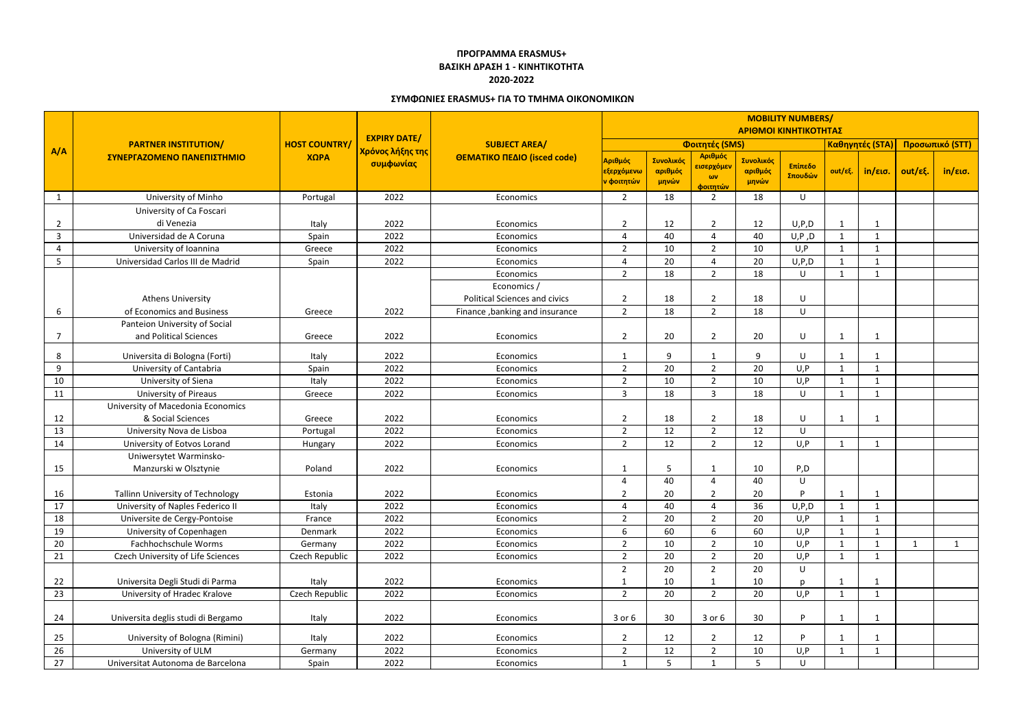|                | <b>PARTNER INSTITUTION/</b><br>ΣΥΝΕΡΓΑΖΟΜΕΝΟ ΠΑΝΕΠΙΣΤΗΜΙΟ |                              | <b>EXPIRY DATE/</b><br>Χρόνος λήξης της<br>συμφωνίας | <b>SUBJECT AREA/</b><br>ΘΕΜΑΤΙΚΟ ΠΕΔΙΟ (isced code) | <b>MOBILITY NUMBERS/</b><br>ΑΡΙΘΜΟΙ ΚΙΝΗΤΙΚΟΤΗΤΑΣ |                               |                                                 |                               |                    |                              |                            |                 |              |
|----------------|-----------------------------------------------------------|------------------------------|------------------------------------------------------|-----------------------------------------------------|---------------------------------------------------|-------------------------------|-------------------------------------------------|-------------------------------|--------------------|------------------------------|----------------------------|-----------------|--------------|
| A/A            |                                                           | <b>HOST COUNTRY/</b><br>ΧΩΡΑ |                                                      |                                                     | Φοιτητές (SMS)                                    |                               |                                                 |                               |                    |                              | Καθηγητές (STA)            | Προσωπικό (STT) |              |
|                |                                                           |                              |                                                      |                                                     | Αριθμός<br>εξερχόμενω<br><mark>ν φοιτητών</mark>  | Συνολικός<br>αριθμός<br>μηνών | Αριθμός<br>εισερχόμεν<br>$\omega$ v<br>φοιτητών | Συνολικός<br>αριθμός<br>μηνών | Επίπεδο<br>Σπουδών | out/εξ.                      | in/εισ.                    | out/εξ.         | in/εισ.      |
| 1              | University of Minho                                       | Portugal                     | 2022                                                 | Economics                                           | $\overline{2}$                                    | 18                            | $\overline{2}$                                  | 18                            | $\sf U$            |                              |                            |                 |              |
| $\overline{2}$ | University of Ca Foscari<br>di Venezia                    | Italy                        | 2022                                                 | Economics                                           | $\overline{2}$                                    | 12                            | $\overline{2}$                                  | 12                            | U, P, D            | 1                            | $\mathbf{1}$               |                 |              |
| $\mathbf{3}$   | Universidad de A Coruna                                   | Spain                        | 2022                                                 | Economics                                           | $\overline{4}$                                    | 40                            | 4                                               | 40                            | U, P, D            | $\mathbf{1}$                 | $\mathbf{1}$               |                 |              |
| 4              | University of Ioannina                                    | Greece                       | 2022                                                 | Economics                                           | $\overline{2}$                                    | 10                            | $\overline{2}$                                  | 10                            | U, P               | $\mathbf{1}$                 | $\mathbf{1}$               |                 |              |
| 5              | Universidad Carlos III de Madrid                          | Spain                        | 2022                                                 | Economics                                           | $\overline{4}$                                    | 20                            | 4                                               | 20                            | U, P, D            | $\mathbf{1}$                 | $\mathbf{1}$               |                 |              |
|                |                                                           |                              |                                                      | Economics<br>Economics /                            | $\overline{2}$                                    | 18                            | $\overline{2}$                                  | 18                            | $\sf U$            | $\mathbf{1}$                 | 1                          |                 |              |
|                | <b>Athens University</b>                                  |                              |                                                      | <b>Political Sciences and civics</b>                | $\overline{2}$                                    | 18                            | $\overline{2}$                                  | 18                            | U                  |                              |                            |                 |              |
| 6              | of Economics and Business                                 | Greece                       | 2022                                                 | Finance, banking and insurance                      | $\overline{2}$                                    | 18                            | $\overline{2}$                                  | 18                            | U                  |                              |                            |                 |              |
| 7              | Panteion University of Social<br>and Political Sciences   | Greece                       | 2022                                                 | Economics                                           | $\overline{2}$                                    | 20                            | $\overline{2}$                                  | 20                            | U                  | 1                            | -1                         |                 |              |
| 8              | Universita di Bologna (Forti)                             | Italy                        | 2022                                                 | Economics                                           | $\mathbf 1$                                       | 9                             | $\mathbf 1$                                     | 9                             | U                  | $\mathbf 1$                  | -1                         |                 |              |
| 9              | University of Cantabria                                   | Spain                        | 2022                                                 | Economics                                           | $\overline{2}$                                    | 20                            | $\overline{2}$                                  | 20                            | U, P               | 1                            | $\mathbf 1$                |                 |              |
| 10             | University of Siena                                       | Italy                        | 2022                                                 | Economics                                           | $\overline{2}$                                    | 10                            | $\overline{2}$                                  | 10                            | U, P               | $\mathbf{1}$                 | $\mathbf{1}$               |                 |              |
| 11             | <b>University of Pireaus</b>                              | Greece                       | 2022                                                 | Economics                                           | $\overline{3}$                                    | 18                            | 3                                               | 18                            | $\sf U$            | 1                            | $\mathbf 1$                |                 |              |
|                | University of Macedonia Economics                         |                              |                                                      |                                                     |                                                   |                               |                                                 |                               |                    |                              |                            |                 |              |
| 12             | & Social Sciences                                         | Greece                       | 2022                                                 | Economics                                           | $\overline{2}$                                    | 18                            | $\overline{2}$                                  | 18                            | $\sf U$            | 1                            | -1                         |                 |              |
| 13             | University Nova de Lisboa                                 | Portugal                     | 2022                                                 | Economics                                           | $\overline{2}$                                    | 12                            | $\overline{2}$                                  | 12                            | U                  |                              |                            |                 |              |
| 14             | University of Eotvos Lorand                               | Hungary                      | 2022                                                 | Economics                                           | $\overline{2}$                                    | 12                            | $\overline{2}$                                  | 12                            | U, P               | $\mathbf{1}$                 | $\mathbf 1$                |                 |              |
| 15             | Uniwersytet Warminsko-<br>Manzurski w Olsztynie           | Poland                       | 2022                                                 | Economics                                           |                                                   | 5                             | 1                                               | 10                            | P, D               |                              |                            |                 |              |
|                |                                                           |                              |                                                      |                                                     | 4                                                 | 40                            | 4                                               | 40                            | U                  |                              |                            |                 |              |
| 16             | Tallinn University of Technology                          | Estonia                      | 2022                                                 | Economics                                           | ົາ<br>∼                                           | 20                            | ົາ                                              | 20                            | P                  | 1                            |                            |                 |              |
| 17             | University of Naples Federico II                          | Italy                        | 2022                                                 | Economics                                           | $\overline{4}$                                    | 40                            | 4                                               | 36                            | U, P, D            | $\mathbf{1}$                 | $\mathbf{1}$               |                 |              |
| 18             | Universite de Cergy-Pontoise                              | France                       | 2022                                                 | Economics                                           | $\overline{2}$                                    | 20                            | $\overline{2}$                                  | 20                            | U,P                | $\mathbf 1$<br>$\mathbf{1}$  | $\mathbf 1$<br>$\mathbf 1$ |                 |              |
| 19             | University of Copenhagen<br>Fachhochschule Worms          | Denmark                      | 2022<br>2022                                         | Economics                                           | 6<br>$\overline{2}$                               | 60<br>10 <sup>°</sup>         | 6                                               | 60<br>10                      | U, P<br>U, P       |                              | $\mathbf{1}$               |                 |              |
| 20<br>21       | Czech University of Life Sciences                         | Germany<br>Czech Republic    | 2022                                                 | Economics<br>Economics                              | $\overline{2}$                                    | 20                            | $\overline{2}$<br>$\overline{2}$                | 20                            | U, P               | $\mathbf{1}$<br>$\mathbf{1}$ | 1                          | $\mathbf{1}$    | $\mathbf{1}$ |
|                |                                                           |                              |                                                      |                                                     | $\overline{2}$                                    | 20                            | $\overline{2}$                                  | 20                            | U                  |                              |                            |                 |              |
| 22             | Universita Degli Studi di Parma                           | Italy                        | 2022                                                 | Economics                                           | $\mathbf{1}$                                      | 10                            |                                                 | 10                            | $\mathbf{D}$       | $\mathbf 1$                  | 1                          |                 |              |
| 23             | University of Hradec Kralove                              | Czech Republic               | 2022                                                 | Economics                                           | $\overline{2}$                                    | 20                            | $\overline{2}$                                  | 20                            | U, P               | $\mathbf{1}$                 | $\mathbf{1}$               |                 |              |
| 24             | Universita deglis studi di Bergamo                        | Italy                        | 2022                                                 | Economics                                           | $3$ or $6$                                        | 30 <sub>o</sub>               | $3$ or $6$                                      | 30 <sup>°</sup>               | <b>P</b>           | 1                            | -1                         |                 |              |
| 25             | University of Bologna (Rimini)                            | Italy                        | 2022                                                 | Economics                                           | $\overline{2}$                                    | 12                            | 2                                               | 12                            | D                  | -1                           |                            |                 |              |
| 26             | University of ULM                                         | Germany                      | 2022                                                 | Economics                                           | $\overline{2}$                                    | 12                            | $\overline{2}$                                  | 10                            | U, P               | $\mathbf{1}$                 | $\mathbf{1}$               |                 |              |
| 27             | Universitat Autonoma de Barcelona                         | Spain                        | 2022                                                 | Economics                                           | $\mathbf{1}$                                      | 5 <sub>1</sub>                | 1                                               | 5 <sup>5</sup>                | U                  |                              |                            |                 |              |

## **ΠΡΟΓΡΑΜΜΑ ERASMUS+ ΒΑΣΙΚΗ ΔΡΑΣΗ 1 - ΚΙΝΗΤΙΚΟΤΗΤΑ 2020-2022**

## **ΣΥΜΦΩΝΙΕΣ ERASMUS+ ΓΙΑ ΤΟ ΤΜΗΜΑ ΟΙΚΟΝΟΜΙΚΩΝ**